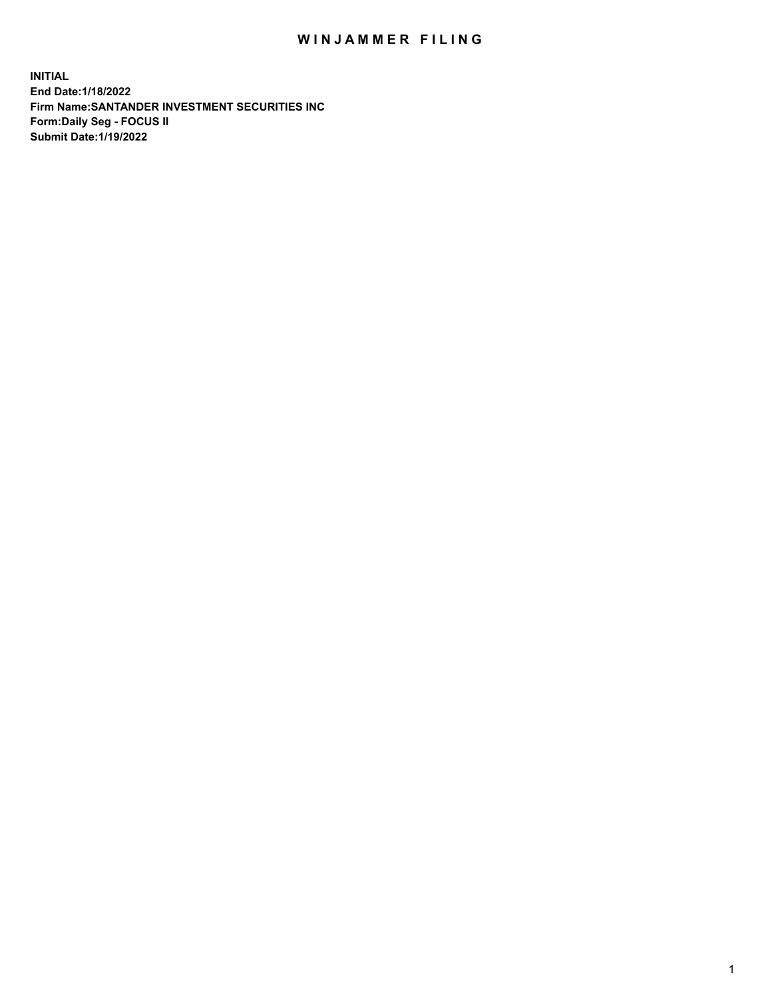## WIN JAMMER FILING

**INITIAL End Date:1/18/2022 Firm Name:SANTANDER INVESTMENT SECURITIES INC Form:Daily Seg - FOCUS II Submit Date:1/19/2022**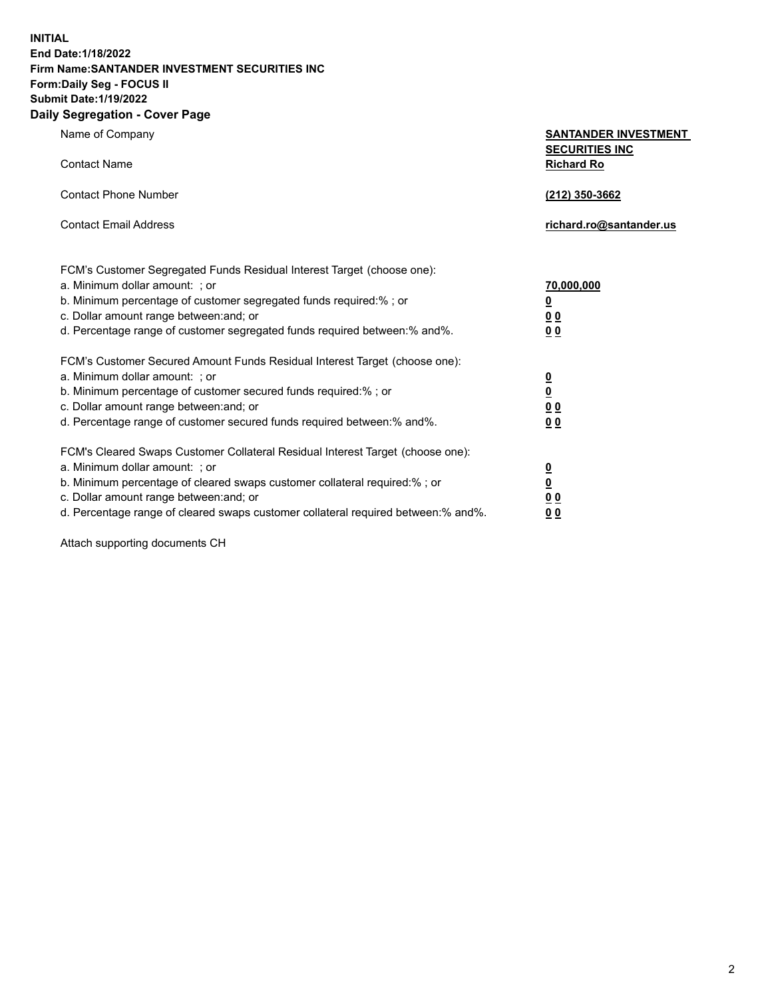**INITIAL End Date:1/18/2022 Firm Name:SANTANDER INVESTMENT SECURITIES INC Form:Daily Seg - FOCUS II Submit Date:1/19/2022 Daily Segregation - Cover Page**

Name of Company **SANTANDER INVESTMENT SECURITIES INC** Contact Name **Richard Ro** Contact Phone Number **(212) 350-3662** Contact Email Address **richard.ro@santander.us** FCM's Customer Segregated Funds Residual Interest Target (choose one): a. Minimum dollar amount: ; or **70,000,000** b. Minimum percentage of customer segregated funds required:% ; or **0** c. Dollar amount range between:and; or **0 0** d. Percentage range of customer segregated funds required between:% and%. **0 0** FCM's Customer Secured Amount Funds Residual Interest Target (choose one): a. Minimum dollar amount: ; or **0** b. Minimum percentage of customer secured funds required:% ; or **0** c. Dollar amount range between:and; or **0 0** d. Percentage range of customer secured funds required between:% and%. **0 0** FCM's Cleared Swaps Customer Collateral Residual Interest Target (choose one): a. Minimum dollar amount: ; or **0** b. Minimum percentage of cleared swaps customer collateral required:% ; or **0**

c. Dollar amount range between:and; or **0 0** d. Percentage range of cleared swaps customer collateral required between:% and%. **0 0**

Attach supporting documents CH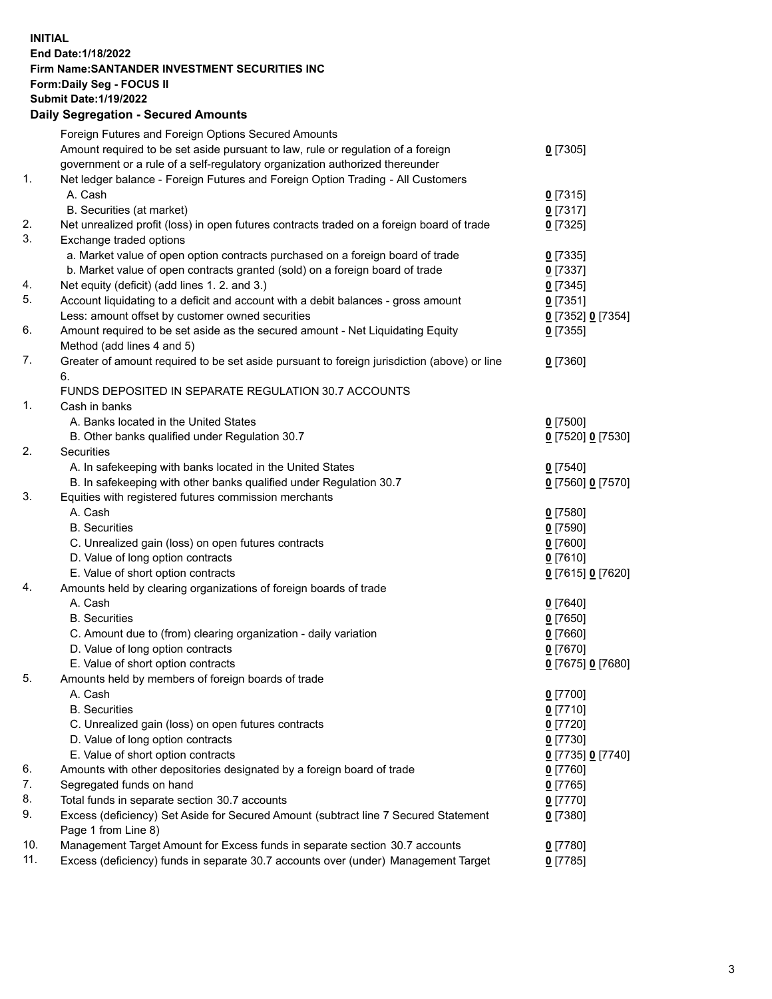## **INITIAL End Date:1/18/2022 Firm Name:SANTANDER INVESTMENT SECURITIES INC Form:Daily Seg - FOCUS II Submit Date:1/19/2022 Daily Segregation - Secured Amounts**

|     | Foreign Futures and Foreign Options Secured Amounts                                         |                   |
|-----|---------------------------------------------------------------------------------------------|-------------------|
|     | Amount required to be set aside pursuant to law, rule or regulation of a foreign            | $0$ [7305]        |
|     | government or a rule of a self-regulatory organization authorized thereunder                |                   |
| 1.  | Net ledger balance - Foreign Futures and Foreign Option Trading - All Customers             |                   |
|     | A. Cash                                                                                     | $0$ [7315]        |
|     | B. Securities (at market)                                                                   | $0$ [7317]        |
| 2.  | Net unrealized profit (loss) in open futures contracts traded on a foreign board of trade   | $0$ [7325]        |
| 3.  | Exchange traded options                                                                     |                   |
|     | a. Market value of open option contracts purchased on a foreign board of trade              | $0$ [7335]        |
|     | b. Market value of open contracts granted (sold) on a foreign board of trade                | $0$ [7337]        |
| 4.  | Net equity (deficit) (add lines 1. 2. and 3.)                                               | $0$ [7345]        |
| 5.  | Account liquidating to a deficit and account with a debit balances - gross amount           | $0$ [7351]        |
|     | Less: amount offset by customer owned securities                                            | 0 [7352] 0 [7354] |
| 6.  | Amount required to be set aside as the secured amount - Net Liquidating Equity              | $0$ [7355]        |
|     | Method (add lines 4 and 5)                                                                  |                   |
| 7.  | Greater of amount required to be set aside pursuant to foreign jurisdiction (above) or line | $0$ [7360]        |
|     | 6.                                                                                          |                   |
|     | FUNDS DEPOSITED IN SEPARATE REGULATION 30.7 ACCOUNTS                                        |                   |
| 1.  | Cash in banks                                                                               |                   |
|     | A. Banks located in the United States                                                       | $0$ [7500]        |
|     | B. Other banks qualified under Regulation 30.7                                              | 0 [7520] 0 [7530] |
| 2.  | Securities                                                                                  |                   |
|     | A. In safekeeping with banks located in the United States                                   | $0$ [7540]        |
|     | B. In safekeeping with other banks qualified under Regulation 30.7                          | 0 [7560] 0 [7570] |
| 3.  | Equities with registered futures commission merchants                                       |                   |
|     | A. Cash                                                                                     | $0$ [7580]        |
|     | <b>B.</b> Securities                                                                        | $0$ [7590]        |
|     | C. Unrealized gain (loss) on open futures contracts                                         | $0$ [7600]        |
|     | D. Value of long option contracts                                                           | $0$ [7610]        |
|     | E. Value of short option contracts                                                          | 0 [7615] 0 [7620] |
| 4.  | Amounts held by clearing organizations of foreign boards of trade                           |                   |
|     | A. Cash                                                                                     | $0$ [7640]        |
|     | <b>B.</b> Securities                                                                        | $0$ [7650]        |
|     | C. Amount due to (from) clearing organization - daily variation                             | $0$ [7660]        |
|     | D. Value of long option contracts                                                           | $0$ [7670]        |
|     | E. Value of short option contracts                                                          | 0 [7675] 0 [7680] |
| 5.  | Amounts held by members of foreign boards of trade                                          |                   |
|     | A. Cash                                                                                     | $0$ [7700]        |
|     | <b>B.</b> Securities                                                                        | $0$ [7710]        |
|     | C. Unrealized gain (loss) on open futures contracts                                         | $0$ [7720]        |
|     | D. Value of long option contracts                                                           | $0$ [7730]        |
|     | E. Value of short option contracts                                                          | 0 [7735] 0 [7740] |
| 6.  | Amounts with other depositories designated by a foreign board of trade                      | $0$ [7760]        |
| 7.  | Segregated funds on hand                                                                    | $0$ [7765]        |
| 8.  | Total funds in separate section 30.7 accounts                                               | $0$ [7770]        |
| 9.  | Excess (deficiency) Set Aside for Secured Amount (subtract line 7 Secured Statement         | $0$ [7380]        |
|     | Page 1 from Line 8)                                                                         |                   |
| 10. | Management Target Amount for Excess funds in separate section 30.7 accounts                 | $0$ [7780]        |
| 11. | Excess (deficiency) funds in separate 30.7 accounts over (under) Management Target          | $0$ [7785]        |
|     |                                                                                             |                   |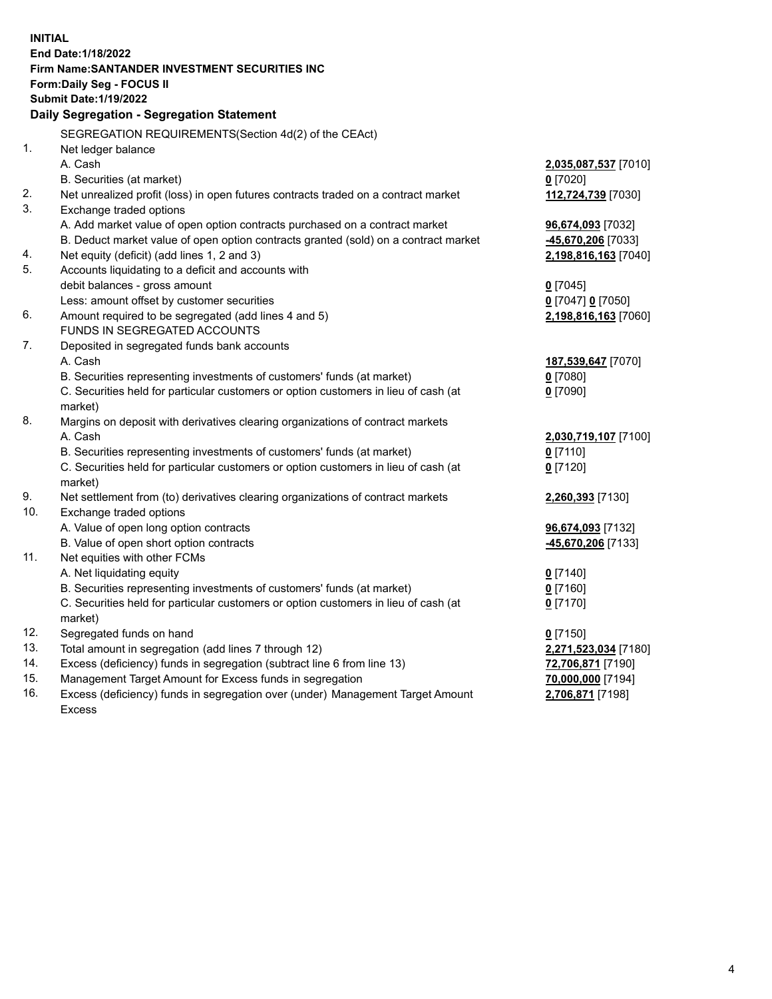| <b>INITIAL</b> |                                                                                     |                                           |  |  |  |
|----------------|-------------------------------------------------------------------------------------|-------------------------------------------|--|--|--|
|                | End Date: 1/18/2022                                                                 |                                           |  |  |  |
|                | Firm Name:SANTANDER INVESTMENT SECURITIES INC                                       |                                           |  |  |  |
|                | Form: Daily Seg - FOCUS II                                                          |                                           |  |  |  |
|                | <b>Submit Date: 1/19/2022</b>                                                       |                                           |  |  |  |
|                | Daily Segregation - Segregation Statement                                           |                                           |  |  |  |
|                | SEGREGATION REQUIREMENTS(Section 4d(2) of the CEAct)                                |                                           |  |  |  |
| 1.             | Net ledger balance                                                                  |                                           |  |  |  |
|                | A. Cash                                                                             | 2,035,087,537 [7010]                      |  |  |  |
|                | B. Securities (at market)                                                           | $0$ [7020]                                |  |  |  |
| 2.             | Net unrealized profit (loss) in open futures contracts traded on a contract market  | 112,724,739 [7030]                        |  |  |  |
| 3.             | Exchange traded options                                                             |                                           |  |  |  |
|                | A. Add market value of open option contracts purchased on a contract market         | 96,674,093 [7032]                         |  |  |  |
|                | B. Deduct market value of open option contracts granted (sold) on a contract market | -45,670,206 [7033]                        |  |  |  |
| 4.             | Net equity (deficit) (add lines 1, 2 and 3)                                         | 2,198,816,163 [7040]                      |  |  |  |
| 5.             | Accounts liquidating to a deficit and accounts with                                 |                                           |  |  |  |
|                | debit balances - gross amount                                                       | $0$ [7045]                                |  |  |  |
|                | Less: amount offset by customer securities                                          | 0 [7047] 0 [7050]                         |  |  |  |
| 6.             | Amount required to be segregated (add lines 4 and 5)                                | 2,198,816,163 [7060]                      |  |  |  |
|                | FUNDS IN SEGREGATED ACCOUNTS                                                        |                                           |  |  |  |
| 7.             | Deposited in segregated funds bank accounts                                         |                                           |  |  |  |
|                | A. Cash                                                                             | 187,539,647 [7070]                        |  |  |  |
|                | B. Securities representing investments of customers' funds (at market)              | $0$ [7080]                                |  |  |  |
|                | C. Securities held for particular customers or option customers in lieu of cash (at | $0$ [7090]                                |  |  |  |
|                | market)                                                                             |                                           |  |  |  |
| 8.             | Margins on deposit with derivatives clearing organizations of contract markets      |                                           |  |  |  |
|                | A. Cash                                                                             | 2,030,719,107 [7100]                      |  |  |  |
|                | B. Securities representing investments of customers' funds (at market)              | $0$ [7110]                                |  |  |  |
|                | C. Securities held for particular customers or option customers in lieu of cash (at | $0$ [7120]                                |  |  |  |
|                | market)                                                                             |                                           |  |  |  |
| 9.             | Net settlement from (to) derivatives clearing organizations of contract markets     | 2,260,393 [7130]                          |  |  |  |
| 10.            | Exchange traded options                                                             |                                           |  |  |  |
|                | A. Value of open long option contracts                                              | 96,674,093 [7132]                         |  |  |  |
|                | B. Value of open short option contracts                                             | -45,670,206 <sup>[7133]</sup>             |  |  |  |
| 11.            | Net equities with other FCMs                                                        |                                           |  |  |  |
|                | A. Net liquidating equity                                                           | $0$ [7140]                                |  |  |  |
|                | B. Securities representing investments of customers' funds (at market)              | $0$ [7160]                                |  |  |  |
|                | C. Securities held for particular customers or option customers in lieu of cash (at | $0$ [7170]                                |  |  |  |
| 12.            | market)<br>Segregated funds on hand                                                 | $0$ [7150]                                |  |  |  |
| 13.            | Total amount in segregation (add lines 7 through 12)                                |                                           |  |  |  |
| 14.            | Excess (deficiency) funds in segregation (subtract line 6 from line 13)             | 2,271,523,034 [7180]<br>72,706,871 [7190] |  |  |  |
| 15.            | Management Target Amount for Excess funds in segregation                            | 70,000,000 [7194]                         |  |  |  |
| 16.            | Excess (deficiency) funds in segregation over (under) Management Target Amount      | 2,706,871 [7198]                          |  |  |  |
|                | <b>Excess</b>                                                                       |                                           |  |  |  |